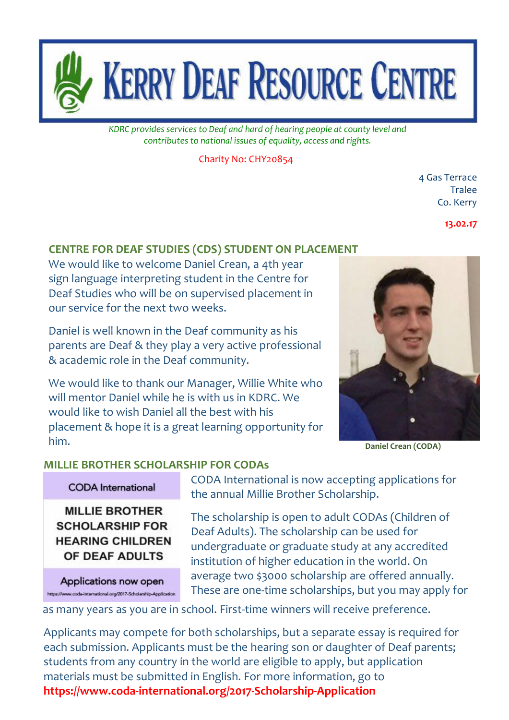

*KDRC provides services to Deaf and hard of hearing people at county level and contributes to national issues of equality, access and rights.*

Charity No: CHY20854

4 Gas Terrace **Tralee** Co. Kerry

**13.02.17**

## **CENTRE FOR DEAF STUDIES (CDS) STUDENT ON PLACEMENT**

We would like to welcome Daniel Crean, a 4th year sign language interpreting student in the Centre for Deaf Studies who will be on supervised placement in our service for the next two weeks.

Daniel is well known in the Deaf community as his parents are Deaf & they play a very active professional & academic role in the Deaf community.

We would like to thank our Manager, Willie White who will mentor Daniel while he is with us in KDRC. We would like to wish Daniel all the best with his placement & hope it is a great learning opportunity for him. **Daniel Crean (CODA)**



#### **MILLIE BROTHER SCHOLARSHIP FOR CODAs**

#### **CODA** International

**MILLIE BROTHER SCHOLARSHIP FOR HEARING CHILDREN** OF DEAF ADULTS

Applications now open https://www.coda-international.org/2017-Scholarship-Application CODA International is now accepting applications for the annual Millie Brother Scholarship.

The scholarship is open to adult CODAs (Children of Deaf Adults). The scholarship can be used for undergraduate or graduate study at any accredited institution of higher education in the world. On average two \$3000 scholarship are offered annually. These are one-time scholarships, but you may apply for

as many years as you are in school. First-time winners will receive preference.

 Applicants may compete for both scholarships, but a separate essay is required for each submission. Applicants must be the hearing son or daughter of Deaf parents; students from any country in the world are eligible to apply, but application materials must be submitted in English. For more information, go to **<https://www.coda-international.org/2017-Scholarship-Application>**